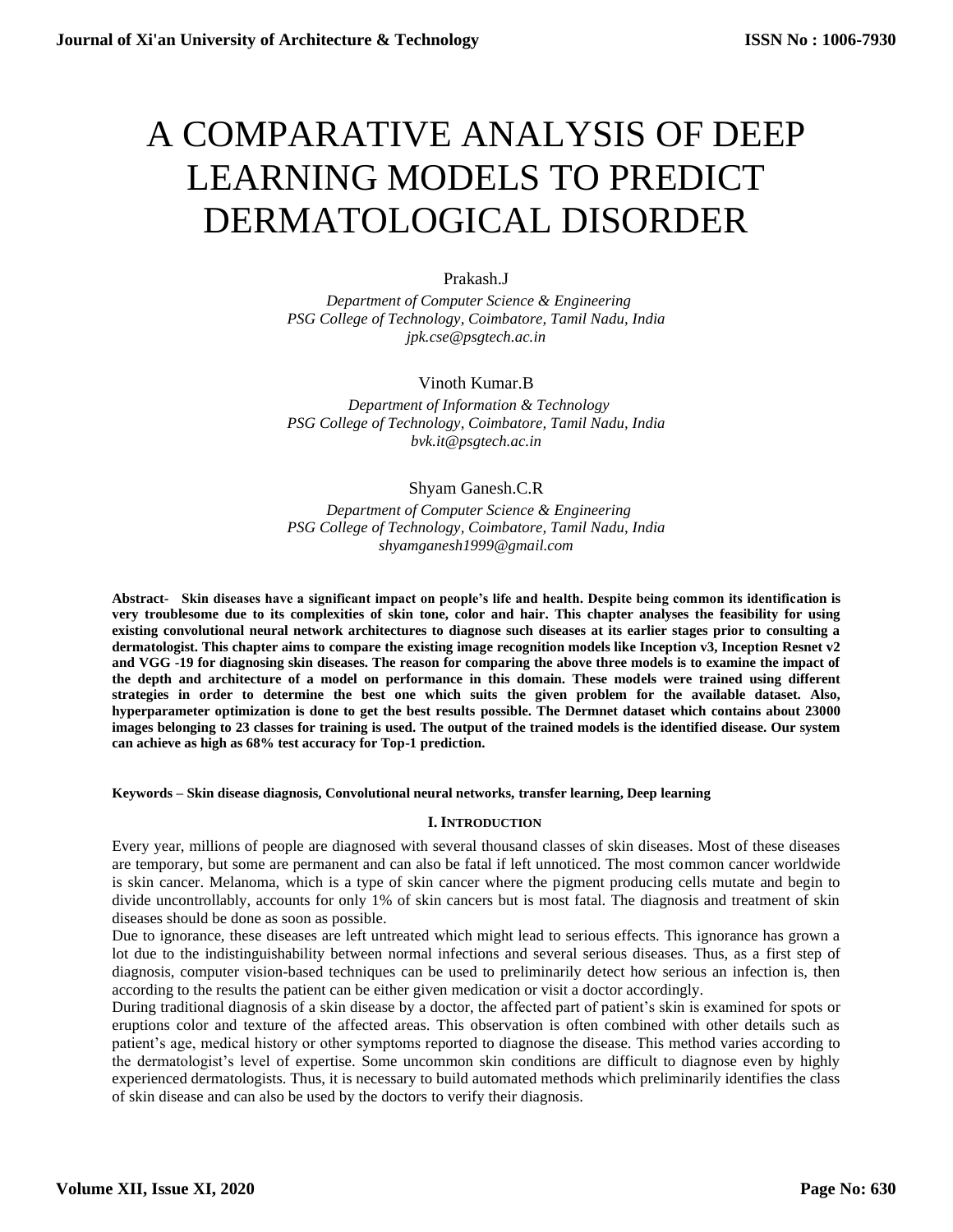# A COMPARATIVE ANALYSIS OF DEEP LEARNING MODELS TO PREDICT DERMATOLOGICAL DISORDER

# Prakash.J

 *Department of Computer Science & Engineering PSG College of Technology, Coimbatore, Tamil Nadu, India jpk.cse@psgtech.ac.in*

# Vinoth Kumar.B

 *Department of Information & Technology PSG College of Technology, Coimbatore, Tamil Nadu, India bvk.it@psgtech.ac.in*

# Shyam Ganesh.C.R

 *Department of Computer Science & Engineering PSG College of Technology, Coimbatore, Tamil Nadu, India shyamganesh1999@gmail.com*

**Abstract- Skin diseases have a significant impact on people's life and health. Despite being common its identification is very troublesome due to its complexities of skin tone, color and hair. This chapter analyses the feasibility for using existing convolutional neural network architectures to diagnose such diseases at its earlier stages prior to consulting a dermatologist. This chapter aims to compare the existing image recognition models like Inception v3, Inception Resnet v2 and VGG -19 for diagnosing skin diseases. The reason for comparing the above three models is to examine the impact of the depth and architecture of a model on performance in this domain. These models were trained using different strategies in order to determine the best one which suits the given problem for the available dataset. Also, hyperparameter optimization is done to get the best results possible. The Dermnet dataset which contains about 23000 images belonging to 23 classes for training is used. The output of the trained models is the identified disease. Our system can achieve as high as 68% test accuracy for Top-1 prediction.**

## **Keywords – Skin disease diagnosis, Convolutional neural networks, transfer learning, Deep learning**

## **I. INTRODUCTION**

Every year, millions of people are diagnosed with several thousand classes of skin diseases. Most of these diseases are temporary, but some are permanent and can also be fatal if left unnoticed. The most common cancer worldwide is skin cancer. Melanoma, which is a type of skin cancer where the pigment producing cells mutate and begin to divide uncontrollably, accounts for only 1% of skin cancers but is most fatal. The diagnosis and treatment of skin diseases should be done as soon as possible.

Due to ignorance, these diseases are left untreated which might lead to serious effects. This ignorance has grown a lot due to the indistinguishability between normal infections and several serious diseases. Thus, as a first step of diagnosis, computer vision-based techniques can be used to preliminarily detect how serious an infection is, then according to the results the patient can be either given medication or visit a doctor accordingly.

During traditional diagnosis of a skin disease by a doctor, the affected part of patient's skin is examined for spots or eruptions color and texture of the affected areas. This observation is often combined with other details such as patient's age, medical history or other symptoms reported to diagnose the disease. This method varies according to the dermatologist's level of expertise. Some uncommon skin conditions are difficult to diagnose even by highly experienced dermatologists. Thus, it is necessary to build automated methods which preliminarily identifies the class of skin disease and can also be used by the doctors to verify their diagnosis.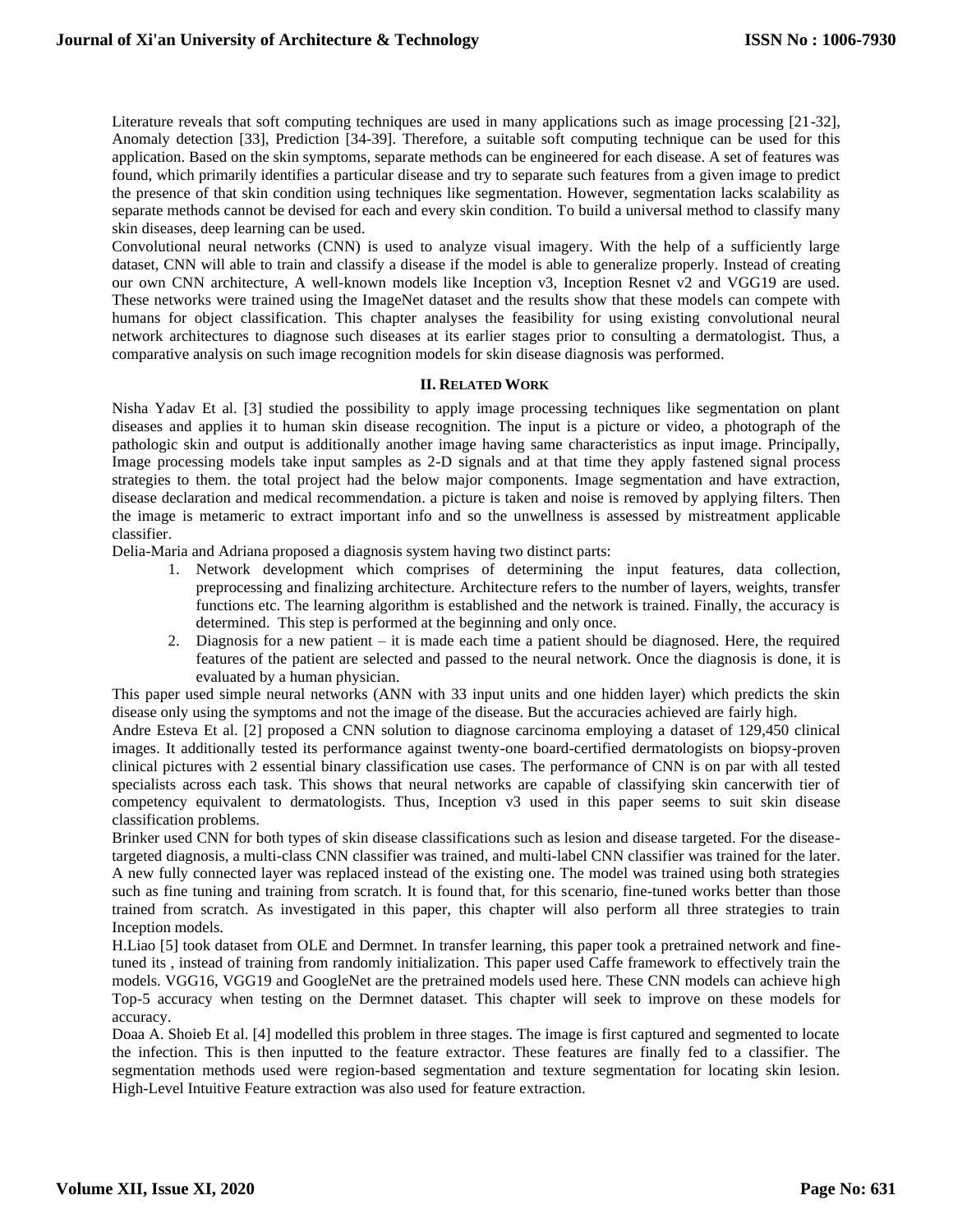Literature reveals that soft computing techniques are used in many applications such as image processing [21-32], Anomaly detection [33], Prediction [34-39]. Therefore, a suitable soft computing technique can be used for this application. Based on the skin symptoms, separate methods can be engineered for each disease. A set of features was found, which primarily identifies a particular disease and try to separate such features from a given image to predict the presence of that skin condition using techniques like segmentation. However, segmentation lacks scalability as separate methods cannot be devised for each and every skin condition. To build a universal method to classify many skin diseases, deep learning can be used.

Convolutional neural networks (CNN) is used to analyze visual imagery. With the help of a sufficiently large dataset, CNN will able to train and classify a disease if the model is able to generalize properly. Instead of creating our own CNN architecture, A well-known models like Inception v3, Inception Resnet v2 and VGG19 are used. These networks were trained using the ImageNet dataset and the results show that these models can compete with humans for object classification. This chapter analyses the feasibility for using existing convolutional neural network architectures to diagnose such diseases at its earlier stages prior to consulting a dermatologist. Thus, a comparative analysis on such image recognition models for skin disease diagnosis was performed.

# **II. RELATED WORK**

Nisha Yadav Et al. [3] studied the possibility to apply image processing techniques like segmentation on plant diseases and applies it to human skin disease recognition. The input is a picture or video, a photograph of the pathologic skin and output is additionally another image having same characteristics as input image. Principally, Image processing models take input samples as 2-D signals and at that time they apply fastened signal process strategies to them. the total project had the below major components. Image segmentation and have extraction, disease declaration and medical recommendation. a picture is taken and noise is removed by applying filters. Then the image is metameric to extract important info and so the unwellness is assessed by mistreatment applicable classifier.

Delia-Maria and Adriana proposed a diagnosis system having two distinct parts:

- 1. Network development which comprises of determining the input features, data collection, preprocessing and finalizing architecture. Architecture refers to the number of layers, weights, transfer functions etc. The learning algorithm is established and the network is trained. Finally, the accuracy is determined. This step is performed at the beginning and only once.
- 2. Diagnosis for a new patient it is made each time a patient should be diagnosed. Here, the required features of the patient are selected and passed to the neural network. Once the diagnosis is done, it is evaluated by a human physician.

This paper used simple neural networks (ANN with 33 input units and one hidden layer) which predicts the skin disease only using the symptoms and not the image of the disease. But the accuracies achieved are fairly high.

Andre Esteva Et al. [2] proposed a CNN solution to diagnose carcinoma employing a dataset of 129,450 clinical images. It additionally tested its performance against twenty-one board-certified dermatologists on biopsy-proven clinical pictures with 2 essential binary classification use cases. The performance of CNN is on par with all tested specialists across each task. This shows that neural networks are capable of classifying skin cancerwith tier of competency equivalent to dermatologists. Thus, Inception v3 used in this paper seems to suit skin disease classification problems.

Brinker used CNN for both types of skin disease classifications such as lesion and disease targeted. For the diseasetargeted diagnosis, a multi-class CNN classifier was trained, and multi-label CNN classifier was trained for the later. A new fully connected layer was replaced instead of the existing one. The model was trained using both strategies such as fine tuning and training from scratch. It is found that, for this scenario, fine-tuned works better than those trained from scratch. As investigated in this paper, this chapter will also perform all three strategies to train Inception models.

H.Liao [5] took dataset from OLE and Dermnet. In transfer learning, this paper took a pretrained network and finetuned its , instead of training from randomly initialization. This paper used Caffe framework to effectively train the models. VGG16, VGG19 and GoogleNet are the pretrained models used here. These CNN models can achieve high Top-5 accuracy when testing on the Dermnet dataset. This chapter will seek to improve on these models for accuracy.

Doaa A. Shoieb Et al. [4] modelled this problem in three stages. The image is first captured and segmented to locate the infection. This is then inputted to the feature extractor. These features are finally fed to a classifier. The segmentation methods used were region-based segmentation and texture segmentation for locating skin lesion. High-Level Intuitive Feature extraction was also used for feature extraction.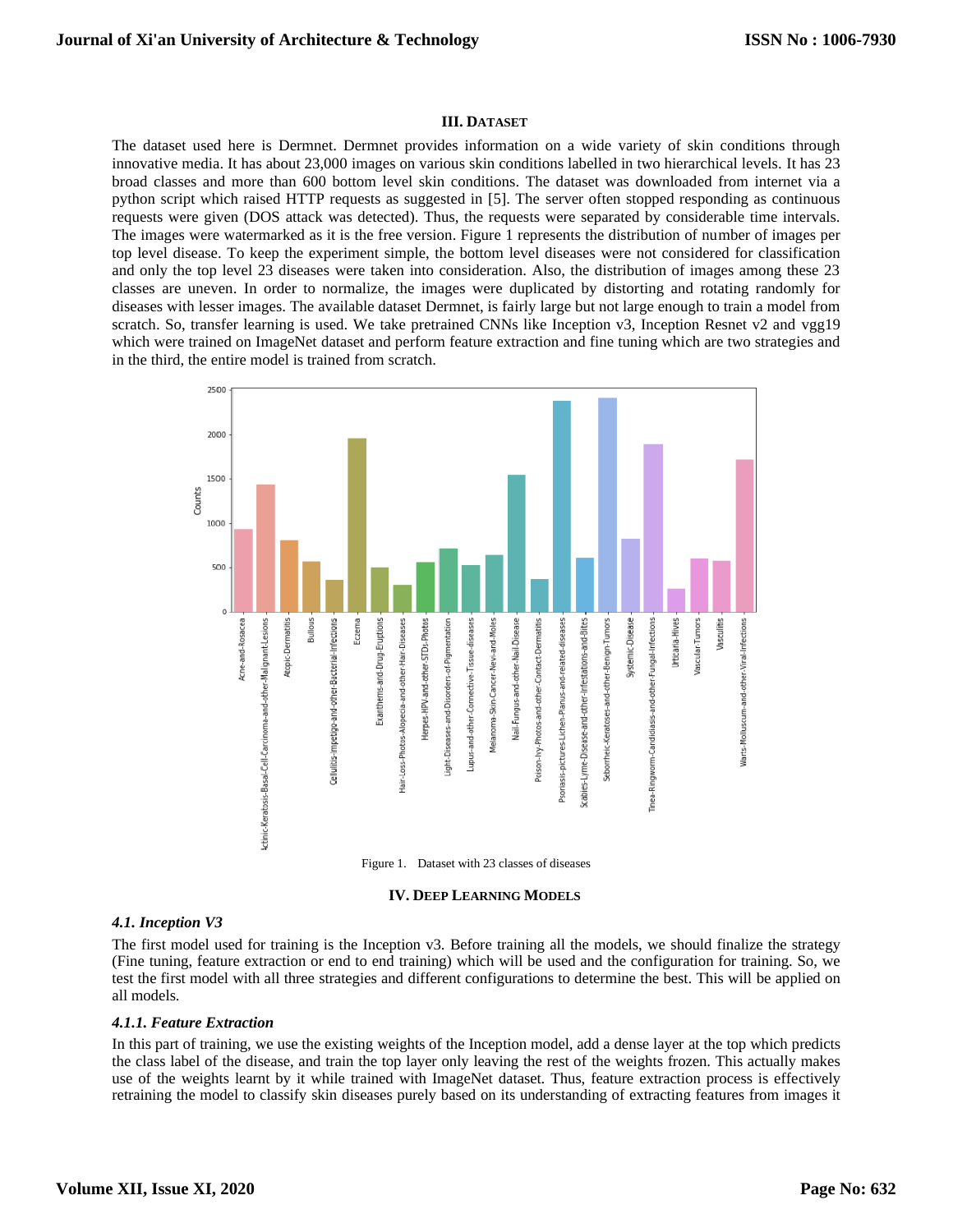# **III. DATASET**

The dataset used here is Dermnet. Dermnet provides information on a wide variety of skin conditions through innovative media. It has about 23,000 images on various skin conditions labelled in two hierarchical levels. It has 23 broad classes and more than 600 bottom level skin conditions. The dataset was downloaded from internet via a python script which raised HTTP requests as suggested in [5]. The server often stopped responding as continuous requests were given (DOS attack was detected). Thus, the requests were separated by considerable time intervals. The images were watermarked as it is the free version. Figure 1 represents the distribution of number of images per top level disease. To keep the experiment simple, the bottom level diseases were not considered for classification and only the top level 23 diseases were taken into consideration. Also, the distribution of images among these 23 classes are uneven. In order to normalize, the images were duplicated by distorting and rotating randomly for diseases with lesser images. The available dataset Dermnet, is fairly large but not large enough to train a model from scratch. So, transfer learning is used. We take pretrained CNNs like Inception v3, Inception Resnet v2 and vgg19 which were trained on ImageNet dataset and perform feature extraction and fine tuning which are two strategies and in the third, the entire model is trained from scratch.



#### **IV. DEEP LEARNING MODELS**

### *4.1. Inception V3*

The first model used for training is the Inception v3. Before training all the models, we should finalize the strategy (Fine tuning, feature extraction or end to end training) which will be used and the configuration for training. So, we test the first model with all three strategies and different configurations to determine the best. This will be applied on all models.

#### *4.1.1. Feature Extraction*

In this part of training, we use the existing weights of the Inception model, add a dense layer at the top which predicts the class label of the disease, and train the top layer only leaving the rest of the weights frozen. This actually makes use of the weights learnt by it while trained with ImageNet dataset. Thus, feature extraction process is effectively retraining the model to classify skin diseases purely based on its understanding of extracting features from images it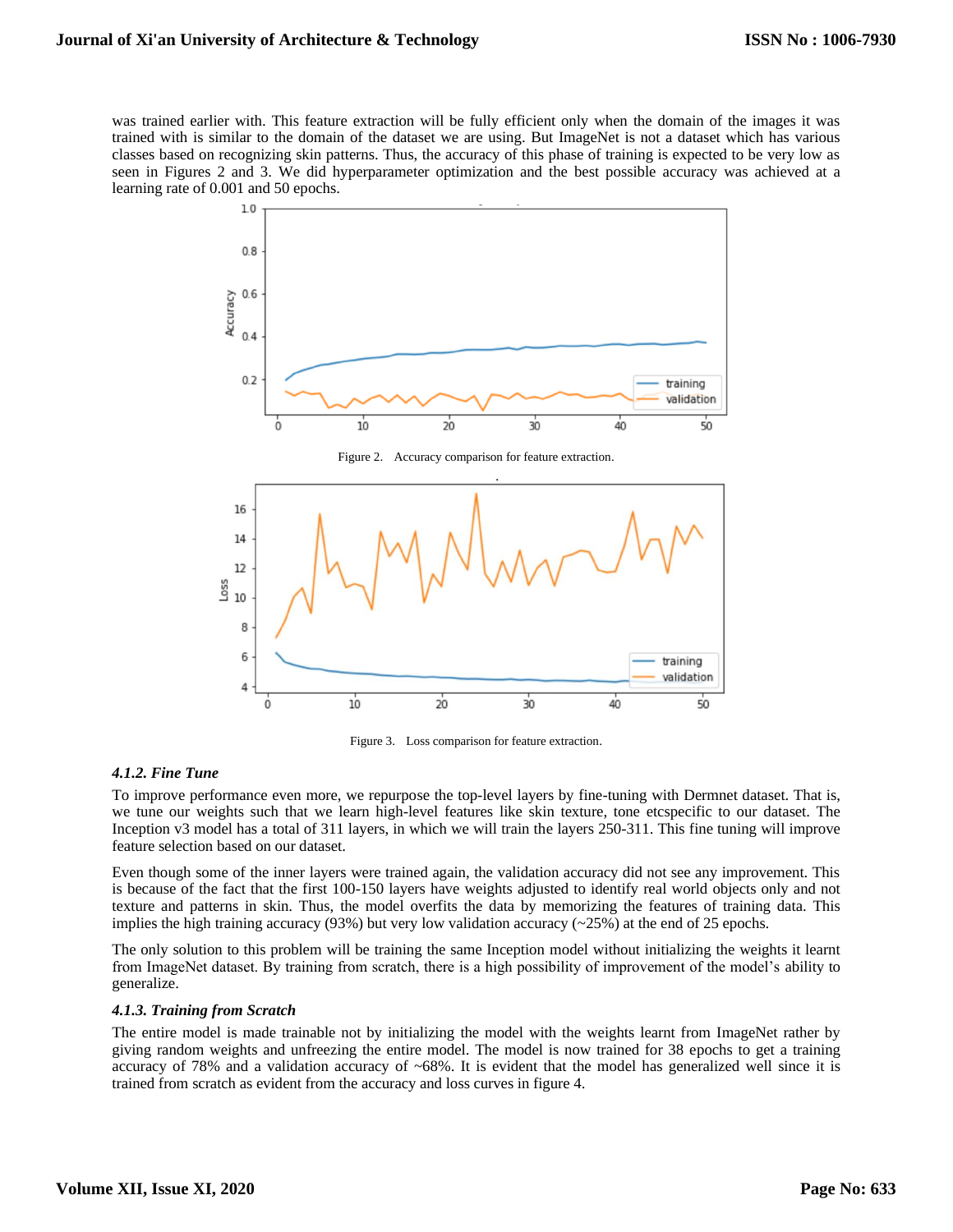was trained earlier with. This feature extraction will be fully efficient only when the domain of the images it was trained with is similar to the domain of the dataset we are using. But ImageNet is not a dataset which has various classes based on recognizing skin patterns. Thus, the accuracy of this phase of training is expected to be very low as seen in Figures 2 and 3. We did hyperparameter optimization and the best possible accuracy was achieved at a learning rate of 0.001 and 50 epochs.





Figure 3. Loss comparison for feature extraction.

## *4.1.2. Fine Tune*

To improve performance even more, we repurpose the top-level layers by fine-tuning with Dermnet dataset. That is, we tune our weights such that we learn high-level features like skin texture, tone etcspecific to our dataset. The Inception v3 model has a total of 311 layers, in which we will train the layers 250-311. This fine tuning will improve feature selection based on our dataset.

Even though some of the inner layers were trained again, the validation accuracy did not see any improvement. This is because of the fact that the first 100-150 layers have weights adjusted to identify real world objects only and not texture and patterns in skin. Thus, the model overfits the data by memorizing the features of training data. This implies the high training accuracy  $(93%)$  but very low validation accuracy  $(-25%)$  at the end of 25 epochs.

The only solution to this problem will be training the same Inception model without initializing the weights it learnt from ImageNet dataset. By training from scratch, there is a high possibility of improvement of the model's ability to generalize.

## *4.1.3. Training from Scratch*

The entire model is made trainable not by initializing the model with the weights learnt from ImageNet rather by giving random weights and unfreezing the entire model. The model is now trained for 38 epochs to get a training accuracy of 78% and a validation accuracy of  $~68\%$ . It is evident that the model has generalized well since it is trained from scratch as evident from the accuracy and loss curves in figure 4.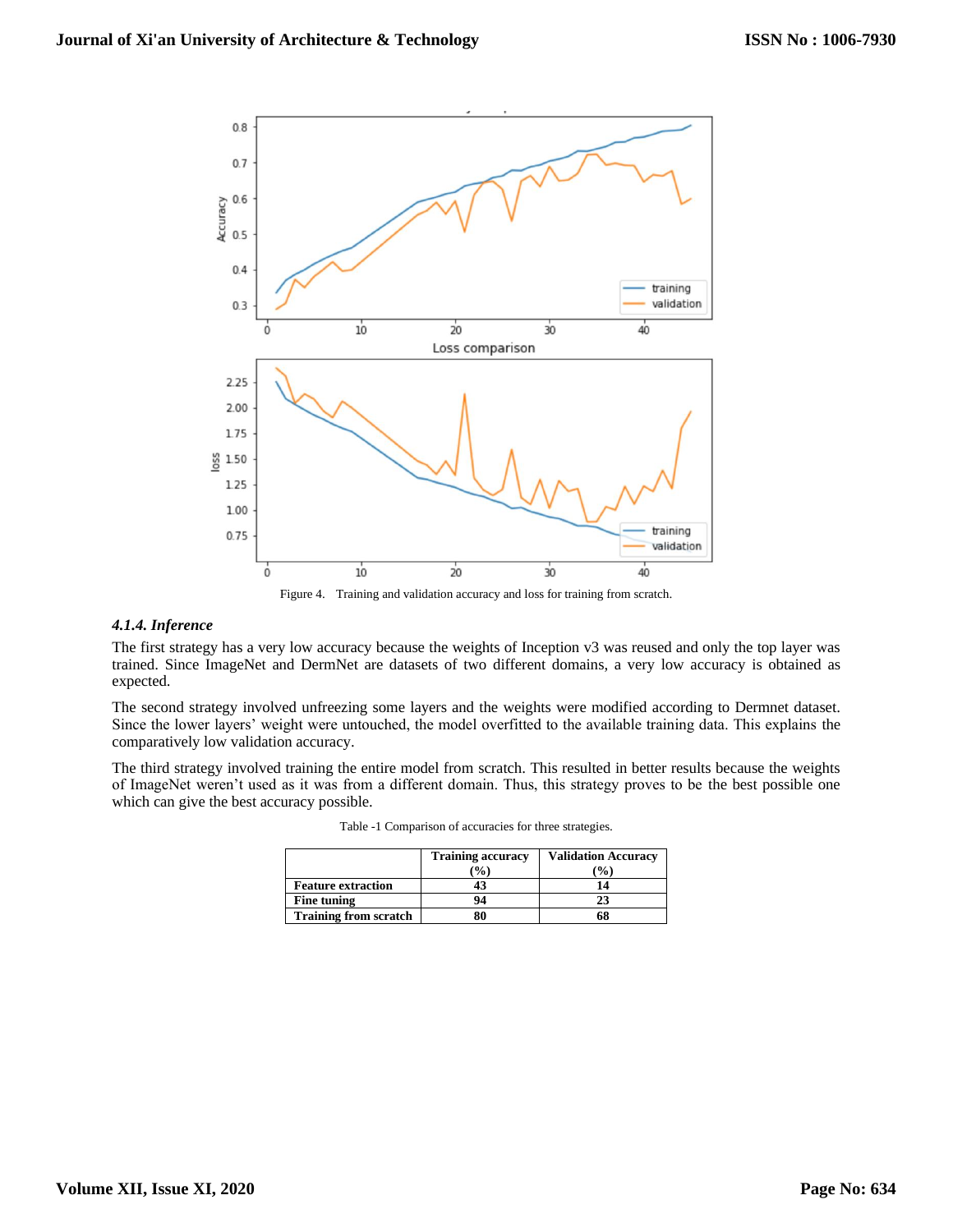

Figure 4. Training and validation accuracy and loss for training from scratch.

# *4.1.4. Inference*

The first strategy has a very low accuracy because the weights of Inception v3 was reused and only the top layer was trained. Since ImageNet and DermNet are datasets of two different domains, a very low accuracy is obtained as expected.

The second strategy involved unfreezing some layers and the weights were modified according to Dermnet dataset. Since the lower layers' weight were untouched, the model overfitted to the available training data. This explains the comparatively low validation accuracy.

The third strategy involved training the entire model from scratch. This resulted in better results because the weights of ImageNet weren't used as it was from a different domain. Thus, this strategy proves to be the best possible one which can give the best accuracy possible.

|                              | <b>Training accuracy</b><br>$\frac{9}{6}$ | <b>Validation Accuracy</b><br>$\frac{9}{0}$ |
|------------------------------|-------------------------------------------|---------------------------------------------|
| <b>Feature extraction</b>    | 43                                        | 14                                          |
| Fine tuning                  | 94                                        |                                             |
| <b>Training from scratch</b> |                                           | 68                                          |

Table -1 Comparison of accuracies for three strategies.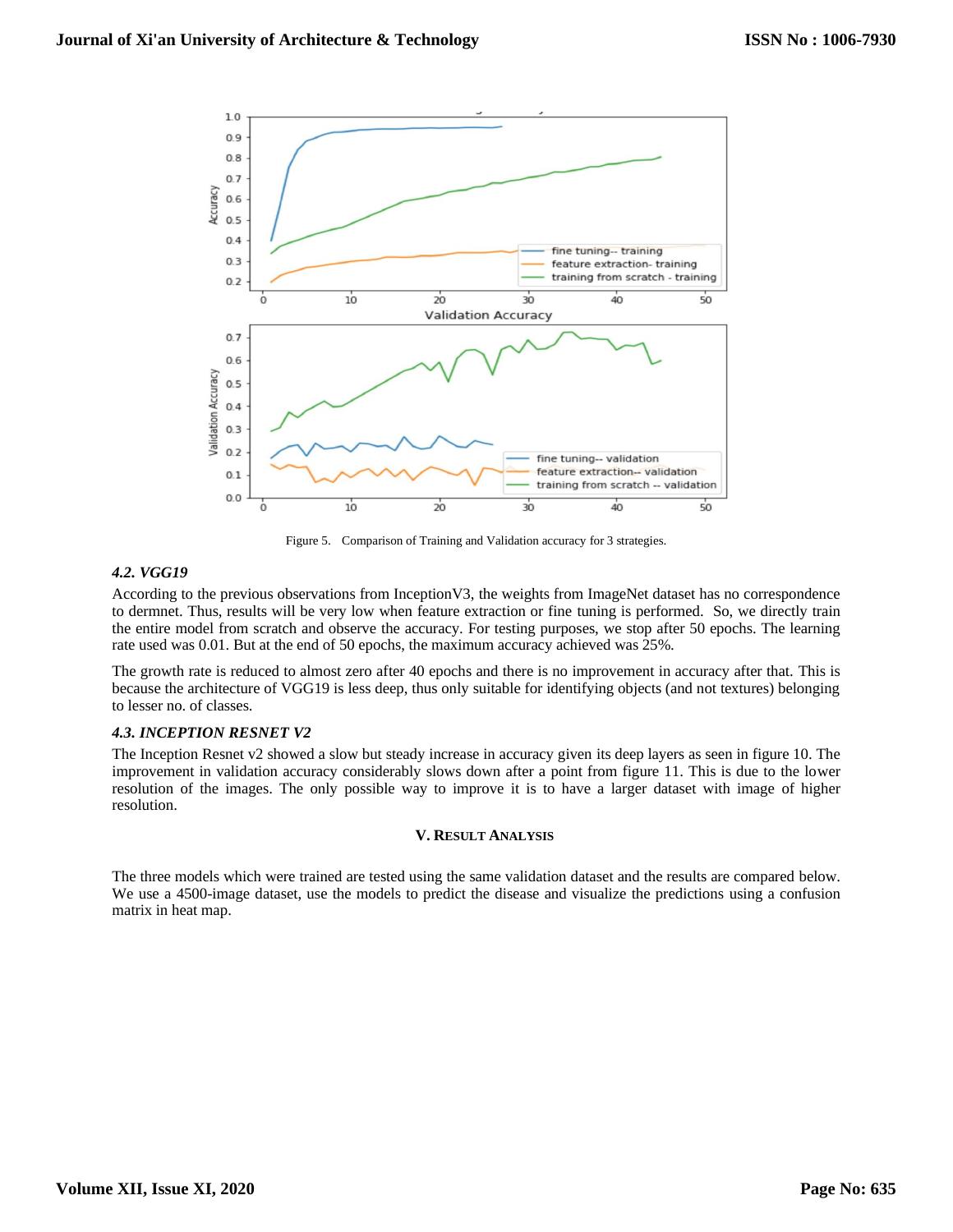

Figure 5. Comparison of Training and Validation accuracy for 3 strategies.

# *4.2. VGG19*

According to the previous observations from InceptionV3, the weights from ImageNet dataset has no correspondence to dermnet. Thus, results will be very low when feature extraction or fine tuning is performed. So, we directly train the entire model from scratch and observe the accuracy. For testing purposes, we stop after 50 epochs. The learning rate used was 0.01. But at the end of 50 epochs, the maximum accuracy achieved was 25%.

The growth rate is reduced to almost zero after 40 epochs and there is no improvement in accuracy after that. This is because the architecture of VGG19 is less deep, thus only suitable for identifying objects (and not textures) belonging to lesser no. of classes.

# *4.3. INCEPTION RESNET V2*

The Inception Resnet v2 showed a slow but steady increase in accuracy given its deep layers as seen in figure 10. The improvement in validation accuracy considerably slows down after a point from figure 11. This is due to the lower resolution of the images. The only possible way to improve it is to have a larger dataset with image of higher resolution.

## **V. RESULT ANALYSIS**

The three models which were trained are tested using the same validation dataset and the results are compared below. We use a 4500-image dataset, use the models to predict the disease and visualize the predictions using a confusion matrix in heat map.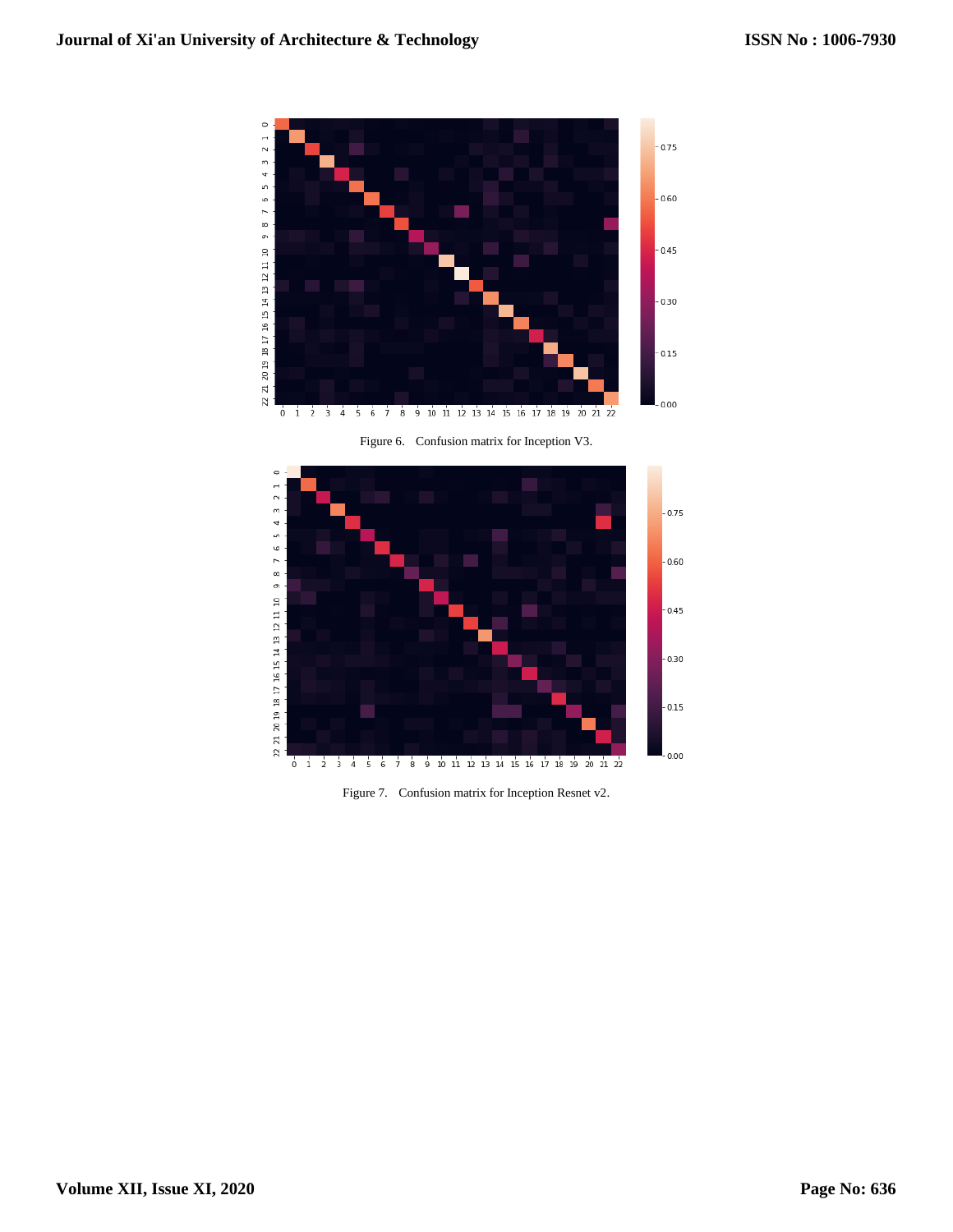

Figure 6. Confusion matrix for Inception V3.



Figure 7. Confusion matrix for Inception Resnet v2.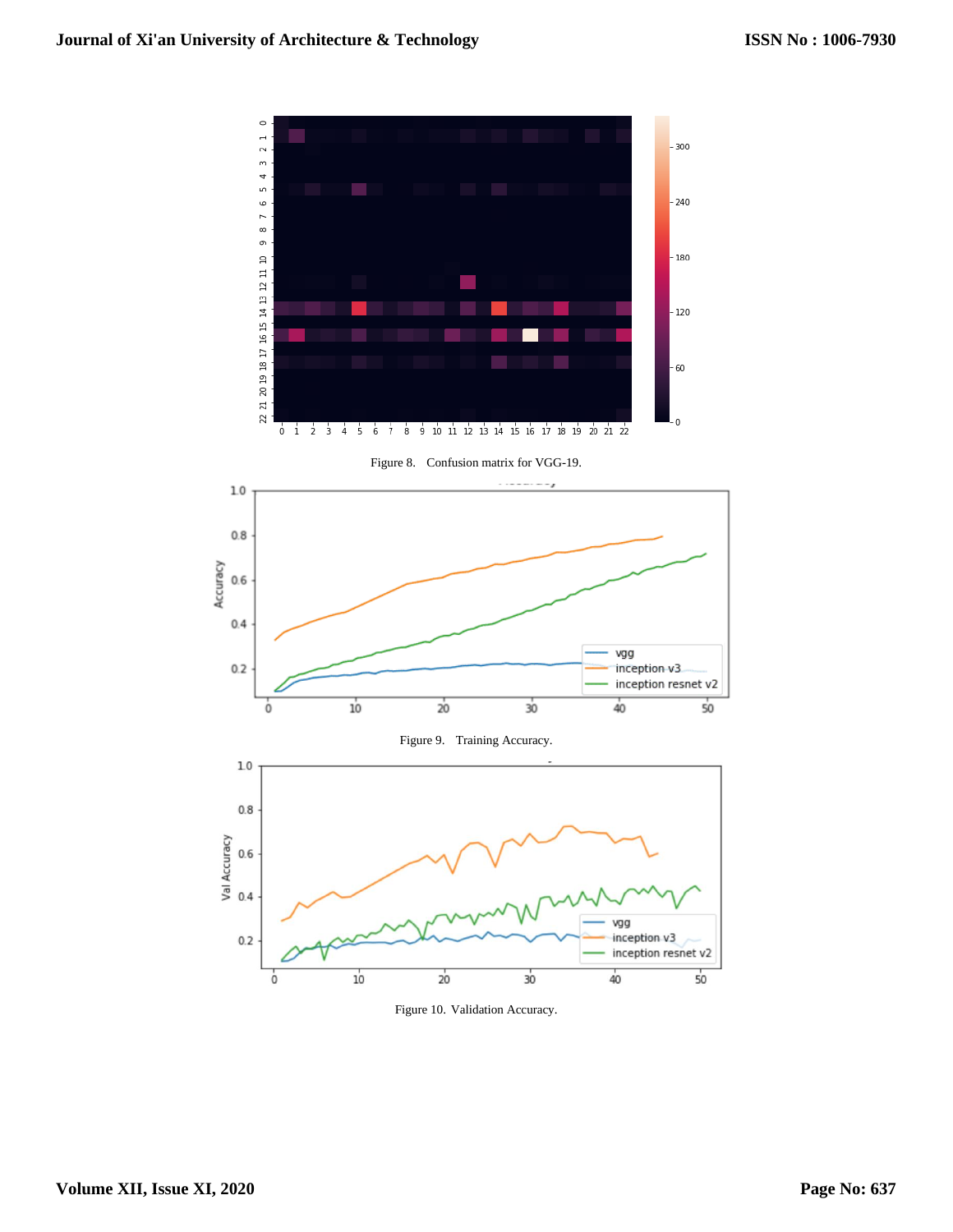

Figure 10. Validation Accuracy.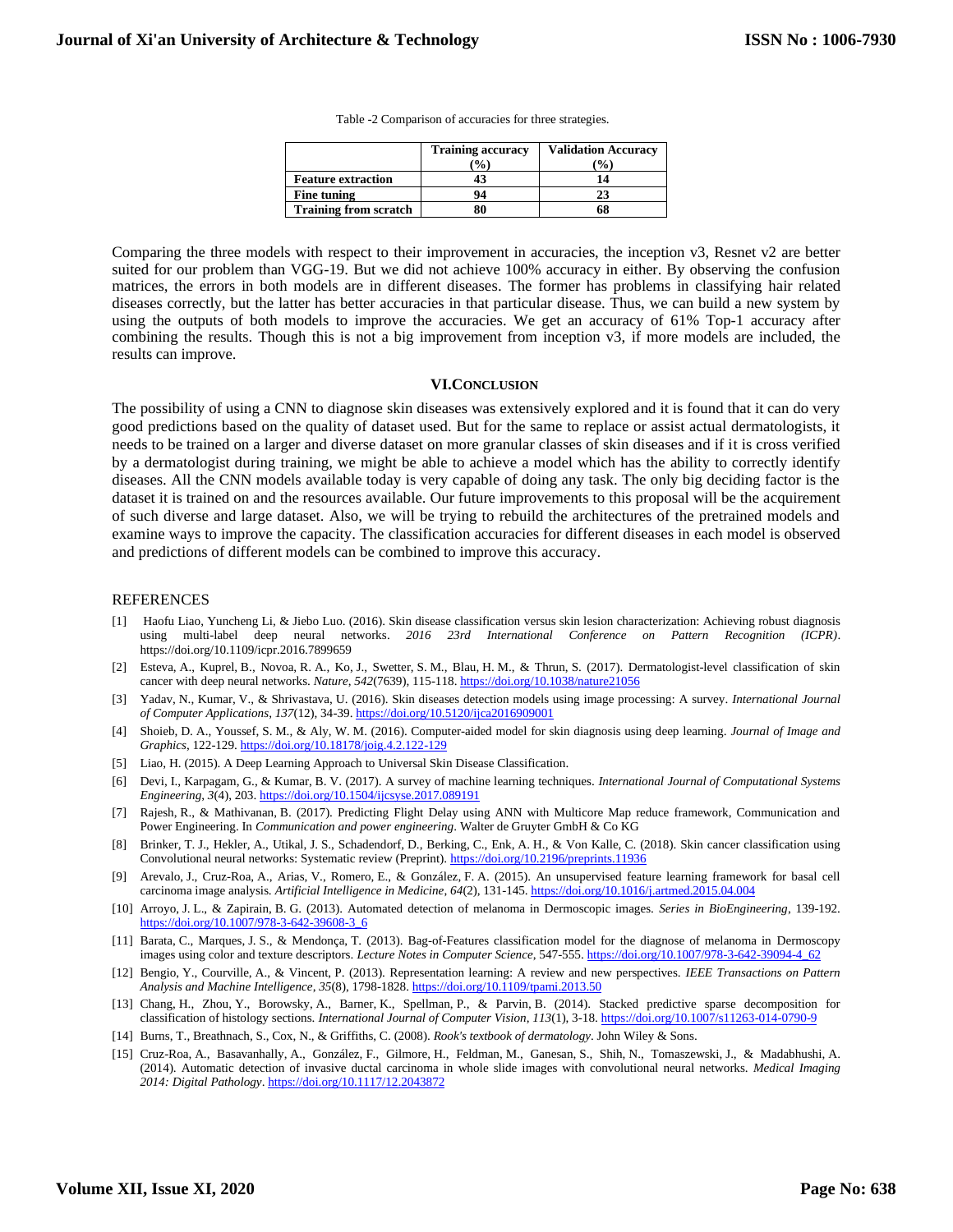Table -2 Comparison of accuracies for three strategies.

|                              | <b>Training accuracy</b><br>$\frac{9}{0}$ | <b>Validation Accuracy</b><br>$\mathcal{O}_0$ |
|------------------------------|-------------------------------------------|-----------------------------------------------|
| <b>Feature extraction</b>    |                                           | 14                                            |
| Fine tuning                  | 94                                        | 23                                            |
| <b>Training from scratch</b> |                                           | 68                                            |

Comparing the three models with respect to their improvement in accuracies, the inception v3, Resnet v2 are better suited for our problem than VGG-19. But we did not achieve 100% accuracy in either. By observing the confusion matrices, the errors in both models are in different diseases. The former has problems in classifying hair related diseases correctly, but the latter has better accuracies in that particular disease. Thus, we can build a new system by using the outputs of both models to improve the accuracies. We get an accuracy of 61% Top-1 accuracy after combining the results. Though this is not a big improvement from inception v3, if more models are included, the results can improve.

#### **VI.CONCLUSION**

The possibility of using a CNN to diagnose skin diseases was extensively explored and it is found that it can do very good predictions based on the quality of dataset used. But for the same to replace or assist actual dermatologists, it needs to be trained on a larger and diverse dataset on more granular classes of skin diseases and if it is cross verified by a dermatologist during training, we might be able to achieve a model which has the ability to correctly identify diseases. All the CNN models available today is very capable of doing any task. The only big deciding factor is the dataset it is trained on and the resources available. Our future improvements to this proposal will be the acquirement of such diverse and large dataset. Also, we will be trying to rebuild the architectures of the pretrained models and examine ways to improve the capacity. The classification accuracies for different diseases in each model is observed and predictions of different models can be combined to improve this accuracy.

#### REFERENCES

- [1] Haofu Liao, Yuncheng Li, & Jiebo Luo. (2016). Skin disease classification versus skin lesion characterization: Achieving robust diagnosis using multi-label deep neural networks. *2016 23rd International Conference on Pattern Recognition (ICPR)*. https://doi.org/10.1109/icpr.2016.7899659
- [2] Esteva, A., Kuprel, B., Novoa, R. A., Ko, J., Swetter, S. M., Blau, H. M., & Thrun, S. (2017). Dermatologist-level classification of skin cancer with deep neural networks. *Nature*, *542*(7639), 115-118[. https://doi.org/10.1038/nature21056](https://doi.org/10.1038/nature21056)
- [3] Yadav, N., Kumar, V., & Shrivastava, U. (2016). Skin diseases detection models using image processing: A survey. *International Journal of Computer Applications*, *137*(12), 34-39[. https://doi.org/10.5120/ijca2016909001](https://doi.org/10.5120/ijca2016909001)
- [4] Shoieb, D. A., Youssef, S. M., & Aly, W. M. (2016). Computer-aided model for skin diagnosis using deep learning. *Journal of Image and Graphics*, 122-129[. https://doi.org/10.18178/joig.4.2.122-129](https://doi.org/10.18178/joig.4.2.122-129)
- [5] Liao, H. (2015). A Deep Learning Approach to Universal Skin Disease Classification.
- [6] Devi, I., Karpagam, G., & Kumar, B. V. (2017). A survey of machine learning techniques. *International Journal of Computational Systems Engineering*, *3*(4), 203.<https://doi.org/10.1504/ijcsyse.2017.089191>
- [7] Rajesh, R., & Mathivanan, B. (2017). Predicting Flight Delay using ANN with Multicore Map reduce framework, Communication and Power Engineering. In *Communication and power engineering*. Walter de Gruyter GmbH & Co KG
- [8] Brinker, T. J., Hekler, A., Utikal, J. S., Schadendorf, D., Berking, C., Enk, A. H., & Von Kalle, C. (2018). Skin cancer classification using Convolutional neural networks: Systematic review (Preprint)[. https://doi.org/10.2196/preprints.11936](https://doi.org/10.2196/preprints.11936)
- [9] Arevalo, J., Cruz-Roa, A., Arias, V., Romero, E., & González, F. A. (2015). An unsupervised feature learning framework for basal cell carcinoma image analysis. *Artificial Intelligence in Medicine*, *64*(2), 131-145[. https://doi.org/10.1016/j.artmed.2015.04.004](https://doi.org/10.1016/j.artmed.2015.04.004)
- [10] Arroyo, J. L., & Zapirain, B. G. (2013). Automated detection of melanoma in Dermoscopic images. *Series in BioEngineering*, 139-192. [https://doi.org/10.1007/978-3-642-39608-3\\_6](https://doi.org/10.1007/978-3-642-39608-3_6)
- [11] Barata, C., Marques, J. S., & Mendonça, T. (2013). Bag-of-Features classification model for the diagnose of melanoma in Dermoscopy images using color and texture descriptors. *Lecture Notes in Computer Science*, 547-555[. https://doi.org/10.1007/978-3-642-39094-4\\_62](https://doi.org/10.1007/978-3-642-39094-4_62)
- [12] Bengio, Y., Courville, A., & Vincent, P. (2013). Representation learning: A review and new perspectives. *IEEE Transactions on Pattern Analysis and Machine Intelligence*, *35*(8), 1798-1828[. https://doi.org/10.1109/tpami.2013.50](https://doi.org/10.1109/tpami.2013.50)
- [13] Chang, H., Zhou, Y., Borowsky, A., Barner, K., Spellman, P., & Parvin, B. (2014). Stacked predictive sparse decomposition for classification of histology sections. *International Journal of Computer Vision*, *113*(1), 3-18[. https://doi.org/10.1007/s11263-014-0790-9](https://doi.org/10.1007/s11263-014-0790-9)
- [14] Burns, T., Breathnach, S., Cox, N., & Griffiths, C. (2008). *Rook's textbook of dermatology*. John Wiley & Sons.
- [15] Cruz-Roa, A., Basavanhally, A., González, F., Gilmore, H., Feldman, M., Ganesan, S., Shih, N., Tomaszewski, J., & Madabhushi, A. (2014). Automatic detection of invasive ductal carcinoma in whole slide images with convolutional neural networks. *Medical Imaging 2014: Digital Pathology*[. https://doi.org/10.1117/12.2043872](https://doi.org/10.1117/12.2043872)